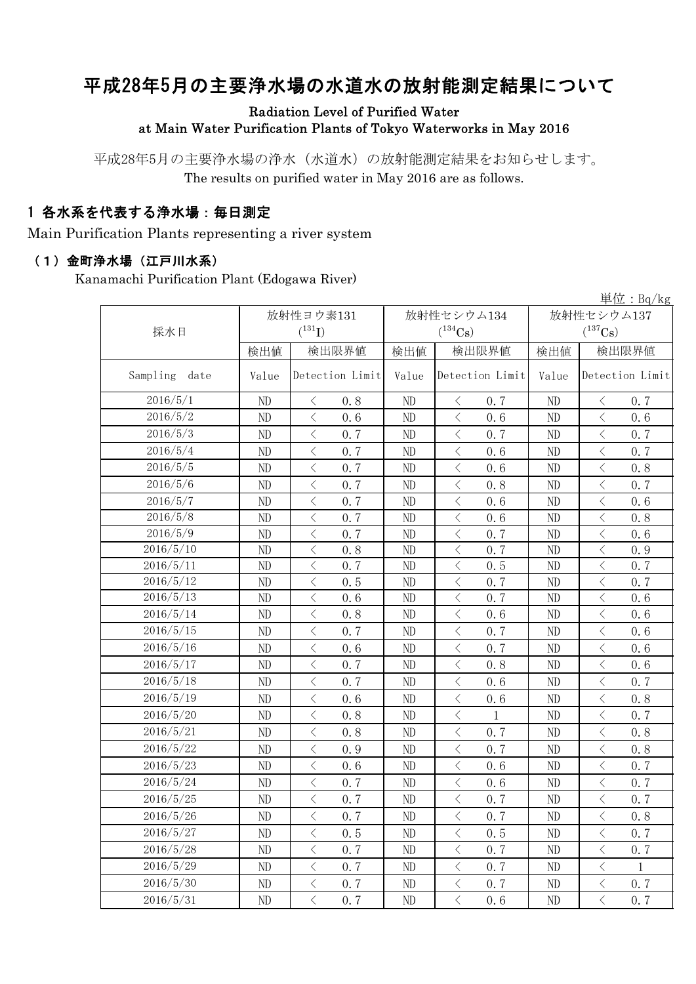# 平成28年5月の主要浄水場の水道水の放射能測定結果について

### Radiation Level of Purified Water at Main Water Purification Plants of Tokyo Waterworks in May 2016

平成28年5月の主要浄水場の浄水(水道水)の放射能測定結果をお知らせします。 The results on purified water in May 2016 are as follows.

## 1 各水系を代表する浄水場:毎日測定

Main Purification Plants representing a river system

#### (1)金町浄水場(江戸川水系)

Kanamachi Purification Plant (Edogawa River)

|                  | 早位: $Bq/kg$ |                                                 |                          |                                                                                                               |              |                                                 |  |  |  |
|------------------|-------------|-------------------------------------------------|--------------------------|---------------------------------------------------------------------------------------------------------------|--------------|-------------------------------------------------|--|--|--|
|                  |             | 放射性ヨウ素131                                       |                          | 放射性セシウム134                                                                                                    | 放射性セシウム137   |                                                 |  |  |  |
| 採水日              |             | $(^{131}I)$                                     | $(^{134}Cs)$             |                                                                                                               | $(^{137}Cs)$ |                                                 |  |  |  |
|                  | 検出値         | 検出限界値                                           | 検出値                      | 検出限界値                                                                                                         | 検出値          | 検出限界値                                           |  |  |  |
| Sampling<br>date | Value       | Detection Limit                                 | Detection Limit<br>Value |                                                                                                               | Value        | Detection Limit                                 |  |  |  |
| 2016/5/1         | ND          | $\langle$<br>0.8                                | ND                       | $\lt$<br>0.7                                                                                                  | ND           | $\lt$<br>0.7                                    |  |  |  |
| 2016/5/2         | ND          | $\langle$<br>0.6                                | ND                       | $\langle$<br>0, 6                                                                                             | ND           | $\overline{\left\langle \right\rangle }$<br>0.6 |  |  |  |
| 2016/5/3         | ND          | $\lt$<br>0.7                                    | ND                       | $\langle$<br>0.7                                                                                              | ND           | $\lt$<br>0.7                                    |  |  |  |
| 2016/5/4         | ND          | $\langle$<br>0.7                                | $\rm ND$                 | $\langle$<br>0.6                                                                                              | ND           | $\overline{\left\langle \right\rangle }$<br>0.7 |  |  |  |
| 2016/5/5         | ND          | $\langle$<br>0.7                                | ND                       | $\overline{\left\langle \right\rangle }$<br>0.6                                                               | ND           | $\lt$<br>0.8                                    |  |  |  |
| 2016/5/6         | ND          | $\langle$<br>0.7                                | ND                       | $\langle$<br>0.8                                                                                              | ND           | $\langle$<br>0, 7                               |  |  |  |
| 2016/5/7         | ND          | $\overline{\left\langle \right\rangle }$<br>0.7 | ND                       | $\langle$<br>0, 6                                                                                             | ND           | $\overline{\left\langle \right\rangle }$<br>0.6 |  |  |  |
| 2016/5/8         | ND          | $\lt$<br>0, 7                                   | ND                       | $\lt$<br>0.6                                                                                                  | ND           | $\lt$<br>0.8                                    |  |  |  |
| 2016/5/9         | ND          | $\overline{\left\langle \right\rangle }$<br>0.7 | ND                       | $\langle$<br>0, 7                                                                                             | ND           | $\overline{\left\langle \right\rangle }$<br>0.6 |  |  |  |
| 2016/5/10        | ND          | $\langle$<br>0.8                                | ND                       | $\langle$<br>0, 7                                                                                             | ND           | $\overline{\left\langle \right\rangle }$<br>0.9 |  |  |  |
| 2016/5/11        | ND          | $\langle$<br>0.7                                | ND                       | $\langle$<br>0.5                                                                                              | ND           | $\lt$<br>0.7                                    |  |  |  |
| 2016/5/12        | ND          | $\lt$<br>0.5                                    | ND                       | $\,$ $\,$ $\,$<br>0.7                                                                                         | ND           | $\langle$<br>0.7                                |  |  |  |
| 2016/5/13        | ND          | $\langle$<br>0.6                                | ND                       | $\langle$<br>0.7                                                                                              | ND           | $\lt$<br>0.6                                    |  |  |  |
| 2016/5/14        | ND          | $\langle$<br>0.8                                | ND                       | $\langle$<br>0.6                                                                                              | ND           | $\overline{\left\langle \right\rangle }$<br>0.6 |  |  |  |
| 2016/5/15        | ND          | $\langle$<br>0.7                                | ND                       | $\lt$<br>0.7                                                                                                  | ND           | $\overline{\left\langle \right\rangle }$<br>0.6 |  |  |  |
| 2016/5/16        | ND          | $\langle$<br>0.6                                | ND                       | $\langle$<br>0.7                                                                                              | ND           | $\langle$<br>0.6                                |  |  |  |
| 2016/5/17        | ND          | $\lt$<br>0.7                                    | ND                       | $\,$ $\,$ $\,$<br>0.8                                                                                         | ND           | $\lt$<br>0.6                                    |  |  |  |
| 2016/5/18        | ND          | $\langle$<br>0.7                                | ND                       | $\langle$<br>0.6                                                                                              | ND           | $\overline{\left\langle \right\rangle }$<br>0.7 |  |  |  |
| 2016/5/19        | ND          | $\langle$<br>0.6                                | ND                       | $\langle$<br>0.6                                                                                              | ND           | $\langle$<br>0.8                                |  |  |  |
| 2016/5/20        | ND          | $\lt$<br>0.8                                    | ND                       | $\lt$<br>1                                                                                                    | ND           | $\lt$<br>0.7                                    |  |  |  |
| 2016/5/21        | ND          | $\langle$<br>0.8                                | ND                       | $\lt$<br>0.7                                                                                                  | ND           | $\langle$<br>0.8                                |  |  |  |
| 2016/5/22        | ND          | $\lt$<br>0.9                                    | ND                       | $\lt$<br>0.7                                                                                                  | ND           | $\langle$<br>0.8                                |  |  |  |
| 2016/5/23        | ND          | $\langle$<br>0.6                                | ND                       | $\hspace{0.1mm}\mathopen{\begin{array}{c}\mathopen{\fbox{$\scriptstyle<\}}\end{array}}\hspace{-0.1mm}$<br>0.6 | ND           | $\lt$<br>0.7                                    |  |  |  |
| 2016/5/24        | ND          | $\langle$<br>0.7                                | ND                       | $\langle$<br>0.6                                                                                              | ND           | $\lt$<br>0.7                                    |  |  |  |
| 2016/5/25        | ND          | $\langle$<br>0.7                                | ND                       | $\langle$<br>0.7                                                                                              | ND           | $\langle$<br>0.7                                |  |  |  |
| 2016/5/26        | ND          | $\langle$<br>0.7                                | ND                       | $\langle$<br>0.7                                                                                              | ND           | $\overline{\left\langle \right\rangle }$<br>0.8 |  |  |  |
| 2016/5/27        | ND          | $\langle$<br>0.5                                | ND                       | $\langle$<br>0.5                                                                                              | ND           | $\langle$<br>0.7                                |  |  |  |
| 2016/5/28        | ND          | $\lt$<br>0.7                                    | ND                       | $\lt$<br>0.7                                                                                                  | ND           | $\lt$<br>0.7                                    |  |  |  |
| 2016/5/29        | ND          | $\lt$<br>0.7                                    | ND                       | $\lt$<br>0.7                                                                                                  | ND           | $\lt$<br>1                                      |  |  |  |
| 2016/5/30        | ND          | $\langle$<br>0.7                                | ND                       | $\lt$<br>0.7                                                                                                  | ND           | $\langle$<br>0.7                                |  |  |  |
| 2016/5/31        | ND          | $\langle$<br>0.7                                | ND                       | $\,$ $\,$ $\,$<br>0.6                                                                                         | ND           | $\overline{\left\langle \right\rangle }$<br>0.7 |  |  |  |

 $\mathcal{W}$ : B<sub>q</sub>/kg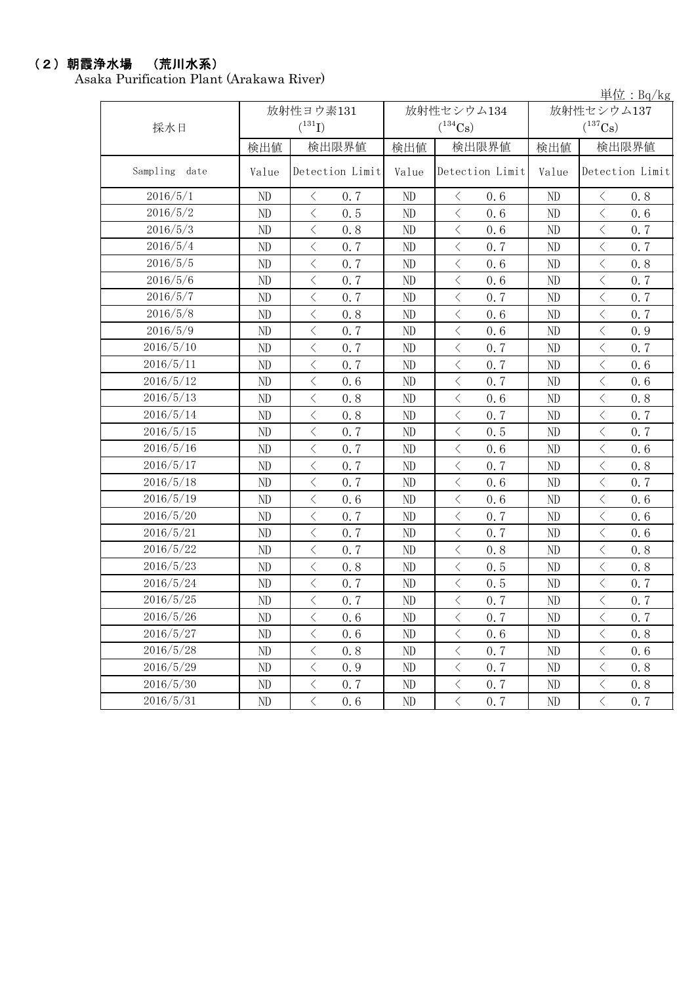### (2)朝霞浄水場 (荒川水系)

Asaka Purification Plant (Arakawa River)

単位:Bq/kg

|                  |          | 放射性ヨウ素131                  |              | 放射性セシウム134                 | $. \,$ D $/$ $\mu$<br>放射性セシウム137 |                                                 |  |
|------------------|----------|----------------------------|--------------|----------------------------|----------------------------------|-------------------------------------------------|--|
| 採水日              |          | $(^{131}I)$                |              | $(^{134}\mathrm{Cs})$      |                                  | $(^{137}\mathrm{Cs})$                           |  |
|                  | 検出値      | 検出限界値                      | 検出限界値<br>検出値 |                            | 検出値                              | 検出限界値                                           |  |
| Sampling<br>date | Value    | Detection Limit            | Value        | Detection Limit            | Value                            | Detection Limit                                 |  |
| 2016/5/1         | $\rm ND$ | $\langle$<br>0.7           | ND           | 0.6<br>$\lt$               | ND                               | 0.8<br>$\langle$                                |  |
| 2016/5/2         | $\rm ND$ | $\langle$<br>0.5           | ND           | $\langle$<br>0.6           | ND                               | $\langle$<br>0.6                                |  |
| 2016/5/3         | ND       | $\,$ $\,$ $\,$<br>0.8      | ND           | $\langle$<br>0.6           | ND                               | $\,$ $\,$ $\,$<br>0.7                           |  |
| 2016/5/4         | $\rm ND$ | $\, \big\langle \,$<br>0.7 | ND           | $\langle$<br>0.7           | ND                               | $\, <\,$<br>0.7                                 |  |
| 2016/5/5         | ND       | $\lt$<br>0.7               | ND           | $\langle$<br>0.6           | ND                               | $\langle$<br>0.8                                |  |
| 2016/5/6         | $\rm ND$ | $\langle$<br>0.7           | ND           | $\langle$<br>0.6           | ND                               | $\,$ $\,$ $\,$<br>0.7                           |  |
| 2016/5/7         | ND       | $\langle$<br>0.7           | ND           | $\langle$<br>0.7           | ND                               | $\lt$<br>0.7                                    |  |
| 2016/5/8         | ND       | $\,$ $\,$ $\,$<br>0.8      | ND           | $\,$ $\,$ $\,$<br>0.6      | ND                               | $\,$ $\,$ $\,$<br>0.7                           |  |
| 2016/5/9         | ND       | $\,$ $\,$ $\,$<br>0, 7     | ND           | $\,$ $\,$ $\,$<br>0.6      | ND                               | $\,$ $\,$ $\,$<br>0.9                           |  |
| 2016/5/10        | ND       | $\,$ $\,$ $\,$<br>0.7      | ND           | $\langle$<br>0.7           | ND                               | 0.7<br>$\langle$                                |  |
| 2016/5/11        | $\rm ND$ | $\langle$<br>0.7           | ND           | $\langle$<br>0.7           | ND                               | $\,$ $\,$ $\,$<br>0.6                           |  |
| 2016/5/12        | ND       | $\langle$<br>0.6           | ND           | $\langle$<br>0.7           | ND                               | $\lt$<br>0.6                                    |  |
| 2016/5/13        | ND       | $\,$ $\,$ $\,$<br>0.8      | ND           | $\langle$<br>0.6           | ND                               | $\,$ $\,$ $\,$<br>0.8                           |  |
| 2016/5/14        | ND       | $\langle$<br>0.8           | ND           | $\langle$<br>0.7           | ND                               | $\,$ $\,$ $\,$<br>0.7                           |  |
| 2016/5/15        | ND       | $\langle$<br>0.7           | ND           | $\langle$<br>0.5           | ND                               | $\langle$<br>0.7                                |  |
| 2016/5/16        | $\rm ND$ | $\langle$<br>0.7           | ND           | $\langle$<br>0.6           | ND                               | $\langle$<br>0.6                                |  |
| 2016/5/17        | ND       | $\langle$<br>0.7           | ND           | $\langle$<br>0.7           | ND                               | $\lt$<br>0.8                                    |  |
| 2016/5/18        | ND       | $\,$ $\,$ $\,$<br>0.7      | ND           | $\langle$<br>0.6           | ND                               | $\,$ $\,$ $\,$<br>0.7                           |  |
| 2016/5/19        | ND       | $\langle$<br>0.6           | ND           | $\langle$<br>0.6           | ND                               | $\lt$<br>0.6                                    |  |
| 2016/5/20        | ND       | $\lt$<br>0.7               | ND           | $\langle$<br>0.7           | ND                               | $\langle$<br>0.6                                |  |
| 2016/5/21        | $\rm ND$ | $\langle$<br>0.7           | ND           | $\langle$<br>0.7           | ND                               | $\,$ $\,$ $\,$<br>0.6                           |  |
| 2016/5/22        | ND       | $\langle$<br>0.7           | ND           | $\langle$<br>0.8           | ND                               | $\,$ $\,$ $\,$<br>0.8                           |  |
| 2016/5/23        | ND       | $\,$ $\,$ $\,$<br>0.8      | ND           | $\langle$<br>0.5           | ND                               | $\,$ $\,$ $\,$<br>0.8                           |  |
| 2016/5/24        | ND       | $\langle$<br>0.7           | ND           | $\langle$<br>0.5           | ND                               | $\,$ $\,$ $\,$<br>0.7                           |  |
| 2016/5/25        | ND       | $\, < \,$<br>0.7           | ND           | $\langle$<br>0.7           | ND                               | $\lt$<br>0.7                                    |  |
| 2016/5/26        | ND       | $\langle$<br>0.6           | ND           | $\,$ $\,$ $\,$<br>0.7      | ND                               | $\overline{\left\langle \right\rangle }$<br>0.7 |  |
| 2016/5/27        | ND       | $\langle$<br>0.6           | ND           | $\langle$<br>0.6           | ND                               | $\, <\,$<br>0.8                                 |  |
| 2016/5/28        | ND       | $\, <\,$<br>0.8            | ND           | $\, \big\langle \,$<br>0.7 | ND                               | $\, <\,$<br>0.6                                 |  |
| 2016/5/29        | $\rm ND$ | $\big\langle$<br>0.9       | ND           | $\, \big\langle \,$<br>0.7 | ND                               | $\, <\,$<br>0.8                                 |  |
| 2016/5/30        | ND       | $\langle$<br>0.7           | ND           | $\big\langle$<br>0.7       | $\rm ND$                         | $\, <\,$<br>0.8                                 |  |
| 2016/5/31        | ND       | $\langle$<br>0.6           | ND           | $\bigl\langle$<br>0.7      | ND                               | $\, <\,$<br>0.7                                 |  |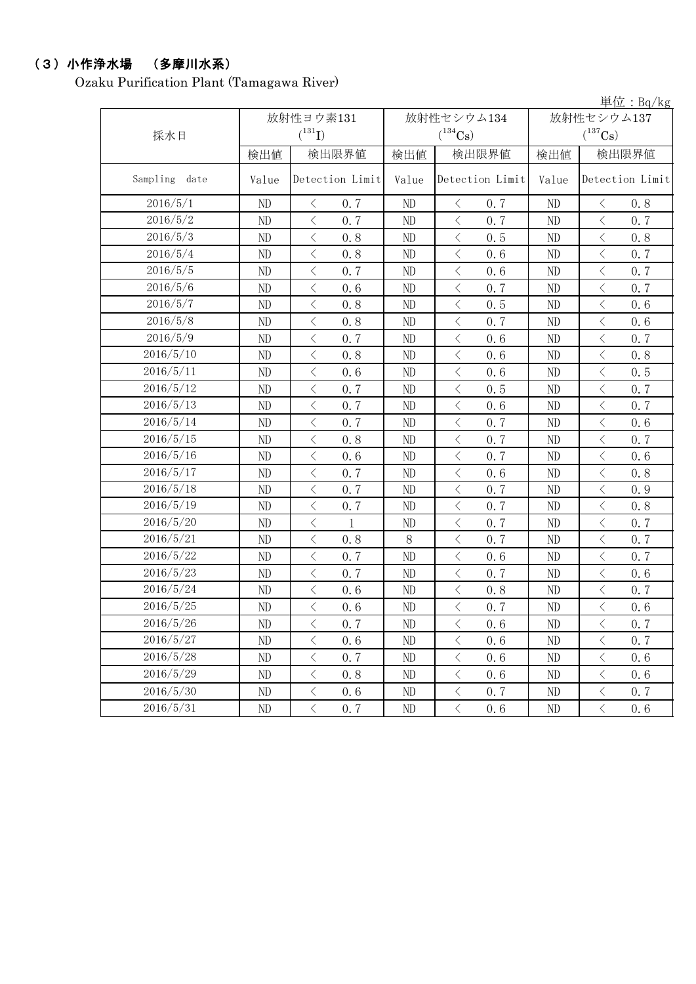### (3)小作浄水場 (多摩川水系)

Ozaku Purification Plant (Tamagawa River)

単位:Bq/kg 検出値 | 検出限量 | 検出限界値 | 検出値 | 検出限界値 Value Detection Limit Value Detection Limit Value ND  $\vert$   $\langle$  0.7  $\vert$  ND  $\vert$   $\langle$  0.7  $\vert$  ND  $\vert$   $\langle$  0.8 ND  $\vert$   $\langle$  0.7  $\vert$  ND  $\vert$   $\langle$  0.7  $\vert$  ND  $\vert$   $\langle$  0.7 ND < 0.8 ND < 0.5 ND < 0.8 ND  $\vert$  < 0.8 | ND | < 0.6 | ND | < 0.7 ND  $\vert$   $\langle$  0.7  $\vert$  ND  $\vert$   $\langle$  0.6  $\vert$  ND  $\vert$   $\langle$  0.7 ND  $\vert$   $\langle$  0.6  $\vert$  ND  $\vert$   $\langle$  0.7  $\vert$  ND  $\vert$   $\langle$  0.7 ND < 0.8 ND < 0.5 ND < 0.6 ND < 0.8 ND < 0.7 ND < 0.6 ND  $\vert$   $\langle$  0.7  $\vert$  ND  $\vert$   $\langle$  0.6  $\vert$  ND  $\vert$   $\langle$  0.7 ND < 0.8 ND < 0.6 ND < 0.8 ND  $\vert$  < 0.6 | ND  $\vert$  < 0.6 | ND | < 0.5 ND  $\vert$   $\langle$  0.7  $\vert$  ND  $\vert$   $\langle$  0.5  $\vert$  ND  $\vert$   $\langle$  0.7 ND  $\vert$   $\langle$  0.7  $\vert$  ND  $\vert$   $\langle$  0.6  $\vert$  ND  $\vert$   $\langle$  0.7 ND  $\vert$   $\langle$  0.7  $\vert$  ND  $\vert$   $\langle$  0.7  $\vert$  ND  $\vert$   $\langle$  0.6 ND  $\vert$   $\langle$  0.8  $\vert$  ND  $\vert$   $\langle$  0.7  $\vert$  ND  $\vert$   $\langle$  0.7 ND  $\vert$  < 0.6 ND  $\vert$  < 0.7 ND  $\vert$  < 0.6 ND < 0.7 ND < 0.6 ND < 0.8 ND < 0.7 ND < 0.7 ND < 0.9 ND < 0.7 ND < 0.7 ND < 0.8 ND < 1 ND < 0.7 ND < 0.7 ND  $\vert$   $\langle$  0.8  $\vert$  8  $\vert$   $\langle$  0.7  $\vert$  ND  $\vert$   $\langle$  0.7 ND  $\vert$   $\langle$  0.7  $\vert$  ND  $\vert$   $\langle$  0.6  $\vert$  ND  $\vert$   $\langle$  0.7 ND  $\vert$   $\langle$  0.7  $\vert$  ND  $\vert$   $\langle$  0.7  $\vert$  ND  $\vert$   $\langle$  0.6 ND < 0.6 ND < 0.8 ND < 0.7 ND  $\vert$   $\langle$  0.6  $\vert$  ND  $\vert$   $\langle$  0.7  $\vert$  ND  $\vert$   $\langle$  0.6 ND  $\vert$   $\langle$  0.7  $\vert$  ND  $\vert$   $\langle$  0.6  $\vert$  ND  $\vert$   $\langle$  0.7 ND  $\vert$   $\langle$  0.6  $\vert$  ND  $\vert$   $\langle$  0.6  $\vert$  ND  $\vert$   $\langle$  0.7 ND  $\vert$  < 0.7 | ND  $\vert$  < 0.6 | ND | < 0.6 ND < 0.8 ND < 0.6 ND < 0.6 ND  $\vert$   $\langle$  0.6  $\vert$  ND  $\vert$   $\langle$  0.7  $\vert$  ND  $\vert$   $\langle$  0.7 ND  $\vert$  < 0.7 | ND  $\vert$  < 0.6 | ND | < 0.6 2016/5/24 2016/5/4 2016/5/8 2016/5/3 2016/5/7 2016/5/9 2016/5/16 2016/5/1 2016/5/5 2016/5/6 2016/5/15 2016/5/22 2016/5/19 2016/5/27 2016/5/28 2016/5/29 2016/5/31 2016/5/20 2016/5/26 検出限界値 2016/5/30 2016/5/21 2016/5/18 Sampling date 採水日 2016/5/11 Detection Limit 放射性セシウム137  $(^{137}\mathrm{Cs})$ 2016/5/12 2016/5/13 放射性ヨウ素131  $(^{131}\text{I})$ 2016/5/2 Detection Limit 2016/5/10 放射性セシウム134  $(^{134}\mathrm{Cs})$ 2016/5/14 2016/5/25 2016/5/23 2016/5/17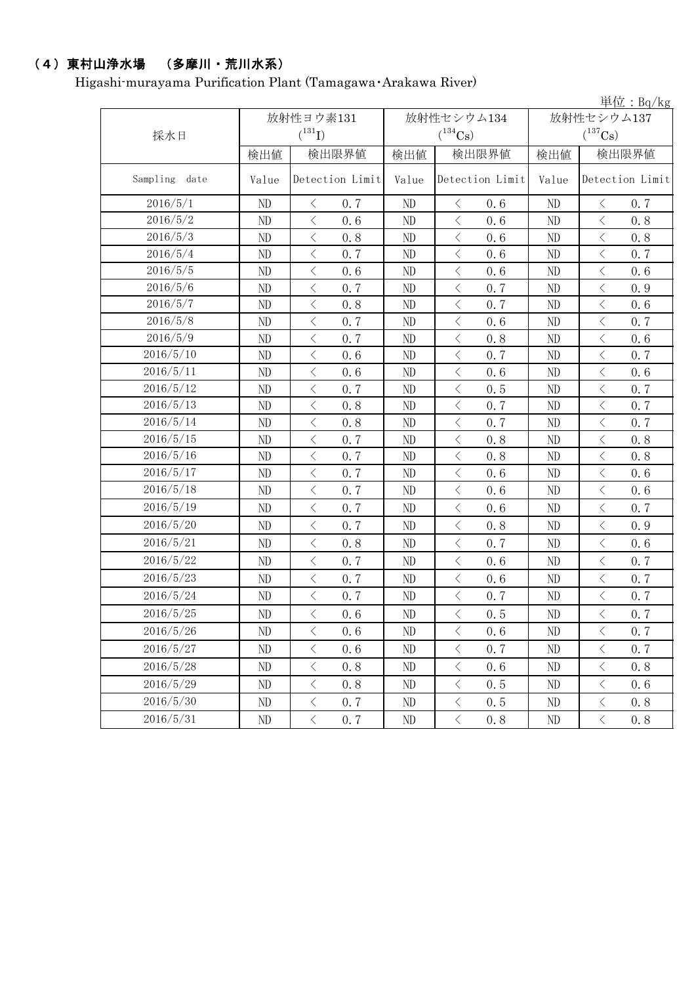# (4)東村山浄水場 (多摩川・荒川水系)

Higashi-murayama Purification Plant (Tamagawa・Arakawa River)

| 放射性セシウム137<br>放射性ヨウ素131<br>放射性セシウム134<br>$(^{131}I)$<br>$(^{134}Cs)$<br>$(^{137}Cs)$<br>採水日<br>検出限界値<br>検出限界値<br>検出限界値<br>検出値<br>検出値<br>検出値<br>Sampling<br>Detection Limit<br>Detection Limit<br>Detection Limit<br>date<br>Value<br>Value<br>Value<br>2016/5/1<br>ND<br>ND<br>ND<br>0.7<br>0.6<br>$\langle$<br>0.7<br>$\lt$<br>$\lt$<br>2016/5/2<br>$\overline{\left\langle \right\rangle }$<br>$\langle$<br>$\langle$<br>0.6<br>0.6<br>0.8<br>ND<br>ND<br>ND<br>2016/5/3<br>$\langle$<br>$\langle$<br>0.8<br>$\langle$<br>0.8<br>ND<br>0.6<br>ND<br>ND<br>2016/5/4<br>$\langle$<br>$\langle$<br>ND<br>0.7<br>$\lt$<br>0.6<br>ND<br>0.7<br>ND<br>2016/5/5<br>$\langle$<br>$\langle$<br>0.6<br>$\langle$<br>ND<br>0.6<br>$\rm ND$<br>0.6<br>ND<br>2016/5/6<br>ND<br>0.7<br>0.7<br>$\, <\,$<br>$\langle$<br>ND<br>$\langle$<br>ND<br>0.9<br>2016/5/7<br>$\overline{\left\langle \right\rangle }$<br>$\langle$<br>0.8<br>$\langle$<br>0.7<br>ND<br>ND<br>0.6<br>ND<br>$\overline{\left\langle \right\rangle }$<br>2016/5/8<br>$\langle$<br>$\,$ $\,$ $\,$<br>ND<br>0.7<br>ND<br>0.6<br>ND<br>0.7<br>2016/5/9<br>ND<br>$\langle$<br>0.7<br>ND<br>$\lt$<br>0.8<br>ND<br>$\langle$<br>0.6<br>2016/5/10<br>$\langle$<br>$\langle$<br>$\,$ $\,$ $\,$<br>ND<br>0.6<br>0.7<br>0.7<br>ND<br>ND<br>2016/5/11<br>ND<br>$\big\langle$<br>0.6<br>0.6<br>$\, \big\langle \,$<br>ND<br>$\langle$<br>ND<br>0.6<br>2016/5/12<br>$\langle$<br>0.5<br>$\langle$<br>0.7<br>ND<br>0.7<br>$\langle$<br>ND<br>ND<br>$\overline{\left\langle \right\rangle }$<br>2016/5/13<br>$\langle$<br>$\langle$<br>0.8<br>ND<br>0.7<br>ND<br>0.7<br>ND<br>2016/5/14<br>$\langle$<br>$\langle$<br>0.7<br>$\langle$<br>0.7<br>ND<br>0.8<br>ND<br>ND<br>2016/5/15<br>$\langle$<br>$\langle$<br>0.8<br>$\langle$<br>ND<br>0.7<br>ND<br>0.8<br>ND<br>2016/5/16<br>ND<br>$\bigl\langle$<br>0.7<br>0.8<br>$\, \zeta \,$<br>0.8<br>ND<br>$\langle$<br>ND<br>2016/5/17<br>$\,<\,$<br>$\langle$<br>$\,$ $\,$ $\,$<br>ND<br>0.7<br>0.6<br>ND<br>0.6<br>ND<br>2016/5/18<br>$\langle$<br>$\langle$<br>ND<br>0.7<br>$\langle$<br>0.6<br>ND<br>0.6<br>ND<br>2016/5/19<br>$\langle$<br>$\langle$<br>ND<br>0.7<br>$\langle$<br>0.6<br>0.7<br>ND<br>ND<br>$\langle$<br>$\, <\,$<br>2016/5/20<br>$\langle$<br>ND<br>0.7<br>0.8<br>ND<br>0.9<br>ND<br>2016/5/21<br>$\langle$<br>$\langle$<br>$\langle$<br>ND<br>0.8<br>0.7<br>0.6<br>ND<br>ND<br>2016/5/22<br>$\langle$<br>$\,$ $\,$ $\,$<br>ND<br>0.7<br>ND<br>$\lt$<br>0.6<br>ND<br>0.7<br>2016/5/23<br>$\langle$<br>$\langle$<br>ND<br>$\langle$<br>0.7<br>0.7<br>ND<br>0.6<br>ND<br>2016/5/24<br>$\, \big\langle \,$<br>$\, <\,$<br>ND<br>$\lt$<br>0.7<br>ND<br>0.7<br>ND<br>0.7<br>2016/5/25<br>$\rm ND$<br>0.6<br>$\rm ND$<br>$\rm ND$<br>$\langle$<br>$\leq$<br>$\langle$<br>0, 5<br>0.7<br>2016/5/26<br>$\lt$<br>ND<br>$\lt$<br>0.6<br>$\lt$<br>0.6<br>ND<br>0.7<br>ND<br>2016/5/27<br>$\langle$<br>$\langle$<br>$\langle$<br>0.6<br>0.7<br>0.7<br>ND<br>ND<br>ND<br>2016/5/28<br>$\langle$<br>$\langle$<br>ND<br>$\lt$<br>0.8<br>ND<br>0.6<br>ND<br>0.8<br>2016/5/29<br>$\langle$<br>$\langle$<br>0.5<br>$\lt$<br>ND<br>0.8<br>ND<br>0.6<br>ND<br>2016/5/30<br>0.7<br>$\langle$<br>ND<br>$\langle$<br>0.5<br>$\lt$<br>0.8<br>ND<br>ND<br>2016/5/31<br>$\langle$<br>$\langle$<br>$\langle$<br>0.7<br>0.8<br>ND<br>ND<br>ND<br>0, 8 |  |  |  |  |  |  |  |  | 単位: Bq/kg |
|------------------------------------------------------------------------------------------------------------------------------------------------------------------------------------------------------------------------------------------------------------------------------------------------------------------------------------------------------------------------------------------------------------------------------------------------------------------------------------------------------------------------------------------------------------------------------------------------------------------------------------------------------------------------------------------------------------------------------------------------------------------------------------------------------------------------------------------------------------------------------------------------------------------------------------------------------------------------------------------------------------------------------------------------------------------------------------------------------------------------------------------------------------------------------------------------------------------------------------------------------------------------------------------------------------------------------------------------------------------------------------------------------------------------------------------------------------------------------------------------------------------------------------------------------------------------------------------------------------------------------------------------------------------------------------------------------------------------------------------------------------------------------------------------------------------------------------------------------------------------------------------------------------------------------------------------------------------------------------------------------------------------------------------------------------------------------------------------------------------------------------------------------------------------------------------------------------------------------------------------------------------------------------------------------------------------------------------------------------------------------------------------------------------------------------------------------------------------------------------------------------------------------------------------------------------------------------------------------------------------------------------------------------------------------------------------------------------------------------------------------------------------------------------------------------------------------------------------------------------------------------------------------------------------------------------------------------------------------------------------------------------------------------------------------------------------------------------------------------------------------------------------------------------------------------------------------------------------------------------------------------------------------------------------------------------------------------|--|--|--|--|--|--|--|--|-----------|
|                                                                                                                                                                                                                                                                                                                                                                                                                                                                                                                                                                                                                                                                                                                                                                                                                                                                                                                                                                                                                                                                                                                                                                                                                                                                                                                                                                                                                                                                                                                                                                                                                                                                                                                                                                                                                                                                                                                                                                                                                                                                                                                                                                                                                                                                                                                                                                                                                                                                                                                                                                                                                                                                                                                                                                                                                                                                                                                                                                                                                                                                                                                                                                                                                                                                                                                                    |  |  |  |  |  |  |  |  |           |
|                                                                                                                                                                                                                                                                                                                                                                                                                                                                                                                                                                                                                                                                                                                                                                                                                                                                                                                                                                                                                                                                                                                                                                                                                                                                                                                                                                                                                                                                                                                                                                                                                                                                                                                                                                                                                                                                                                                                                                                                                                                                                                                                                                                                                                                                                                                                                                                                                                                                                                                                                                                                                                                                                                                                                                                                                                                                                                                                                                                                                                                                                                                                                                                                                                                                                                                                    |  |  |  |  |  |  |  |  |           |
|                                                                                                                                                                                                                                                                                                                                                                                                                                                                                                                                                                                                                                                                                                                                                                                                                                                                                                                                                                                                                                                                                                                                                                                                                                                                                                                                                                                                                                                                                                                                                                                                                                                                                                                                                                                                                                                                                                                                                                                                                                                                                                                                                                                                                                                                                                                                                                                                                                                                                                                                                                                                                                                                                                                                                                                                                                                                                                                                                                                                                                                                                                                                                                                                                                                                                                                                    |  |  |  |  |  |  |  |  |           |
|                                                                                                                                                                                                                                                                                                                                                                                                                                                                                                                                                                                                                                                                                                                                                                                                                                                                                                                                                                                                                                                                                                                                                                                                                                                                                                                                                                                                                                                                                                                                                                                                                                                                                                                                                                                                                                                                                                                                                                                                                                                                                                                                                                                                                                                                                                                                                                                                                                                                                                                                                                                                                                                                                                                                                                                                                                                                                                                                                                                                                                                                                                                                                                                                                                                                                                                                    |  |  |  |  |  |  |  |  |           |
|                                                                                                                                                                                                                                                                                                                                                                                                                                                                                                                                                                                                                                                                                                                                                                                                                                                                                                                                                                                                                                                                                                                                                                                                                                                                                                                                                                                                                                                                                                                                                                                                                                                                                                                                                                                                                                                                                                                                                                                                                                                                                                                                                                                                                                                                                                                                                                                                                                                                                                                                                                                                                                                                                                                                                                                                                                                                                                                                                                                                                                                                                                                                                                                                                                                                                                                                    |  |  |  |  |  |  |  |  |           |
|                                                                                                                                                                                                                                                                                                                                                                                                                                                                                                                                                                                                                                                                                                                                                                                                                                                                                                                                                                                                                                                                                                                                                                                                                                                                                                                                                                                                                                                                                                                                                                                                                                                                                                                                                                                                                                                                                                                                                                                                                                                                                                                                                                                                                                                                                                                                                                                                                                                                                                                                                                                                                                                                                                                                                                                                                                                                                                                                                                                                                                                                                                                                                                                                                                                                                                                                    |  |  |  |  |  |  |  |  |           |
|                                                                                                                                                                                                                                                                                                                                                                                                                                                                                                                                                                                                                                                                                                                                                                                                                                                                                                                                                                                                                                                                                                                                                                                                                                                                                                                                                                                                                                                                                                                                                                                                                                                                                                                                                                                                                                                                                                                                                                                                                                                                                                                                                                                                                                                                                                                                                                                                                                                                                                                                                                                                                                                                                                                                                                                                                                                                                                                                                                                                                                                                                                                                                                                                                                                                                                                                    |  |  |  |  |  |  |  |  |           |
|                                                                                                                                                                                                                                                                                                                                                                                                                                                                                                                                                                                                                                                                                                                                                                                                                                                                                                                                                                                                                                                                                                                                                                                                                                                                                                                                                                                                                                                                                                                                                                                                                                                                                                                                                                                                                                                                                                                                                                                                                                                                                                                                                                                                                                                                                                                                                                                                                                                                                                                                                                                                                                                                                                                                                                                                                                                                                                                                                                                                                                                                                                                                                                                                                                                                                                                                    |  |  |  |  |  |  |  |  |           |
|                                                                                                                                                                                                                                                                                                                                                                                                                                                                                                                                                                                                                                                                                                                                                                                                                                                                                                                                                                                                                                                                                                                                                                                                                                                                                                                                                                                                                                                                                                                                                                                                                                                                                                                                                                                                                                                                                                                                                                                                                                                                                                                                                                                                                                                                                                                                                                                                                                                                                                                                                                                                                                                                                                                                                                                                                                                                                                                                                                                                                                                                                                                                                                                                                                                                                                                                    |  |  |  |  |  |  |  |  |           |
|                                                                                                                                                                                                                                                                                                                                                                                                                                                                                                                                                                                                                                                                                                                                                                                                                                                                                                                                                                                                                                                                                                                                                                                                                                                                                                                                                                                                                                                                                                                                                                                                                                                                                                                                                                                                                                                                                                                                                                                                                                                                                                                                                                                                                                                                                                                                                                                                                                                                                                                                                                                                                                                                                                                                                                                                                                                                                                                                                                                                                                                                                                                                                                                                                                                                                                                                    |  |  |  |  |  |  |  |  |           |
|                                                                                                                                                                                                                                                                                                                                                                                                                                                                                                                                                                                                                                                                                                                                                                                                                                                                                                                                                                                                                                                                                                                                                                                                                                                                                                                                                                                                                                                                                                                                                                                                                                                                                                                                                                                                                                                                                                                                                                                                                                                                                                                                                                                                                                                                                                                                                                                                                                                                                                                                                                                                                                                                                                                                                                                                                                                                                                                                                                                                                                                                                                                                                                                                                                                                                                                                    |  |  |  |  |  |  |  |  |           |
|                                                                                                                                                                                                                                                                                                                                                                                                                                                                                                                                                                                                                                                                                                                                                                                                                                                                                                                                                                                                                                                                                                                                                                                                                                                                                                                                                                                                                                                                                                                                                                                                                                                                                                                                                                                                                                                                                                                                                                                                                                                                                                                                                                                                                                                                                                                                                                                                                                                                                                                                                                                                                                                                                                                                                                                                                                                                                                                                                                                                                                                                                                                                                                                                                                                                                                                                    |  |  |  |  |  |  |  |  |           |
|                                                                                                                                                                                                                                                                                                                                                                                                                                                                                                                                                                                                                                                                                                                                                                                                                                                                                                                                                                                                                                                                                                                                                                                                                                                                                                                                                                                                                                                                                                                                                                                                                                                                                                                                                                                                                                                                                                                                                                                                                                                                                                                                                                                                                                                                                                                                                                                                                                                                                                                                                                                                                                                                                                                                                                                                                                                                                                                                                                                                                                                                                                                                                                                                                                                                                                                                    |  |  |  |  |  |  |  |  |           |
|                                                                                                                                                                                                                                                                                                                                                                                                                                                                                                                                                                                                                                                                                                                                                                                                                                                                                                                                                                                                                                                                                                                                                                                                                                                                                                                                                                                                                                                                                                                                                                                                                                                                                                                                                                                                                                                                                                                                                                                                                                                                                                                                                                                                                                                                                                                                                                                                                                                                                                                                                                                                                                                                                                                                                                                                                                                                                                                                                                                                                                                                                                                                                                                                                                                                                                                                    |  |  |  |  |  |  |  |  |           |
|                                                                                                                                                                                                                                                                                                                                                                                                                                                                                                                                                                                                                                                                                                                                                                                                                                                                                                                                                                                                                                                                                                                                                                                                                                                                                                                                                                                                                                                                                                                                                                                                                                                                                                                                                                                                                                                                                                                                                                                                                                                                                                                                                                                                                                                                                                                                                                                                                                                                                                                                                                                                                                                                                                                                                                                                                                                                                                                                                                                                                                                                                                                                                                                                                                                                                                                                    |  |  |  |  |  |  |  |  |           |
|                                                                                                                                                                                                                                                                                                                                                                                                                                                                                                                                                                                                                                                                                                                                                                                                                                                                                                                                                                                                                                                                                                                                                                                                                                                                                                                                                                                                                                                                                                                                                                                                                                                                                                                                                                                                                                                                                                                                                                                                                                                                                                                                                                                                                                                                                                                                                                                                                                                                                                                                                                                                                                                                                                                                                                                                                                                                                                                                                                                                                                                                                                                                                                                                                                                                                                                                    |  |  |  |  |  |  |  |  |           |
|                                                                                                                                                                                                                                                                                                                                                                                                                                                                                                                                                                                                                                                                                                                                                                                                                                                                                                                                                                                                                                                                                                                                                                                                                                                                                                                                                                                                                                                                                                                                                                                                                                                                                                                                                                                                                                                                                                                                                                                                                                                                                                                                                                                                                                                                                                                                                                                                                                                                                                                                                                                                                                                                                                                                                                                                                                                                                                                                                                                                                                                                                                                                                                                                                                                                                                                                    |  |  |  |  |  |  |  |  |           |
|                                                                                                                                                                                                                                                                                                                                                                                                                                                                                                                                                                                                                                                                                                                                                                                                                                                                                                                                                                                                                                                                                                                                                                                                                                                                                                                                                                                                                                                                                                                                                                                                                                                                                                                                                                                                                                                                                                                                                                                                                                                                                                                                                                                                                                                                                                                                                                                                                                                                                                                                                                                                                                                                                                                                                                                                                                                                                                                                                                                                                                                                                                                                                                                                                                                                                                                                    |  |  |  |  |  |  |  |  |           |
|                                                                                                                                                                                                                                                                                                                                                                                                                                                                                                                                                                                                                                                                                                                                                                                                                                                                                                                                                                                                                                                                                                                                                                                                                                                                                                                                                                                                                                                                                                                                                                                                                                                                                                                                                                                                                                                                                                                                                                                                                                                                                                                                                                                                                                                                                                                                                                                                                                                                                                                                                                                                                                                                                                                                                                                                                                                                                                                                                                                                                                                                                                                                                                                                                                                                                                                                    |  |  |  |  |  |  |  |  |           |
|                                                                                                                                                                                                                                                                                                                                                                                                                                                                                                                                                                                                                                                                                                                                                                                                                                                                                                                                                                                                                                                                                                                                                                                                                                                                                                                                                                                                                                                                                                                                                                                                                                                                                                                                                                                                                                                                                                                                                                                                                                                                                                                                                                                                                                                                                                                                                                                                                                                                                                                                                                                                                                                                                                                                                                                                                                                                                                                                                                                                                                                                                                                                                                                                                                                                                                                                    |  |  |  |  |  |  |  |  |           |
|                                                                                                                                                                                                                                                                                                                                                                                                                                                                                                                                                                                                                                                                                                                                                                                                                                                                                                                                                                                                                                                                                                                                                                                                                                                                                                                                                                                                                                                                                                                                                                                                                                                                                                                                                                                                                                                                                                                                                                                                                                                                                                                                                                                                                                                                                                                                                                                                                                                                                                                                                                                                                                                                                                                                                                                                                                                                                                                                                                                                                                                                                                                                                                                                                                                                                                                                    |  |  |  |  |  |  |  |  |           |
|                                                                                                                                                                                                                                                                                                                                                                                                                                                                                                                                                                                                                                                                                                                                                                                                                                                                                                                                                                                                                                                                                                                                                                                                                                                                                                                                                                                                                                                                                                                                                                                                                                                                                                                                                                                                                                                                                                                                                                                                                                                                                                                                                                                                                                                                                                                                                                                                                                                                                                                                                                                                                                                                                                                                                                                                                                                                                                                                                                                                                                                                                                                                                                                                                                                                                                                                    |  |  |  |  |  |  |  |  |           |
|                                                                                                                                                                                                                                                                                                                                                                                                                                                                                                                                                                                                                                                                                                                                                                                                                                                                                                                                                                                                                                                                                                                                                                                                                                                                                                                                                                                                                                                                                                                                                                                                                                                                                                                                                                                                                                                                                                                                                                                                                                                                                                                                                                                                                                                                                                                                                                                                                                                                                                                                                                                                                                                                                                                                                                                                                                                                                                                                                                                                                                                                                                                                                                                                                                                                                                                                    |  |  |  |  |  |  |  |  |           |
|                                                                                                                                                                                                                                                                                                                                                                                                                                                                                                                                                                                                                                                                                                                                                                                                                                                                                                                                                                                                                                                                                                                                                                                                                                                                                                                                                                                                                                                                                                                                                                                                                                                                                                                                                                                                                                                                                                                                                                                                                                                                                                                                                                                                                                                                                                                                                                                                                                                                                                                                                                                                                                                                                                                                                                                                                                                                                                                                                                                                                                                                                                                                                                                                                                                                                                                                    |  |  |  |  |  |  |  |  |           |
|                                                                                                                                                                                                                                                                                                                                                                                                                                                                                                                                                                                                                                                                                                                                                                                                                                                                                                                                                                                                                                                                                                                                                                                                                                                                                                                                                                                                                                                                                                                                                                                                                                                                                                                                                                                                                                                                                                                                                                                                                                                                                                                                                                                                                                                                                                                                                                                                                                                                                                                                                                                                                                                                                                                                                                                                                                                                                                                                                                                                                                                                                                                                                                                                                                                                                                                                    |  |  |  |  |  |  |  |  |           |
|                                                                                                                                                                                                                                                                                                                                                                                                                                                                                                                                                                                                                                                                                                                                                                                                                                                                                                                                                                                                                                                                                                                                                                                                                                                                                                                                                                                                                                                                                                                                                                                                                                                                                                                                                                                                                                                                                                                                                                                                                                                                                                                                                                                                                                                                                                                                                                                                                                                                                                                                                                                                                                                                                                                                                                                                                                                                                                                                                                                                                                                                                                                                                                                                                                                                                                                                    |  |  |  |  |  |  |  |  |           |
|                                                                                                                                                                                                                                                                                                                                                                                                                                                                                                                                                                                                                                                                                                                                                                                                                                                                                                                                                                                                                                                                                                                                                                                                                                                                                                                                                                                                                                                                                                                                                                                                                                                                                                                                                                                                                                                                                                                                                                                                                                                                                                                                                                                                                                                                                                                                                                                                                                                                                                                                                                                                                                                                                                                                                                                                                                                                                                                                                                                                                                                                                                                                                                                                                                                                                                                                    |  |  |  |  |  |  |  |  |           |
|                                                                                                                                                                                                                                                                                                                                                                                                                                                                                                                                                                                                                                                                                                                                                                                                                                                                                                                                                                                                                                                                                                                                                                                                                                                                                                                                                                                                                                                                                                                                                                                                                                                                                                                                                                                                                                                                                                                                                                                                                                                                                                                                                                                                                                                                                                                                                                                                                                                                                                                                                                                                                                                                                                                                                                                                                                                                                                                                                                                                                                                                                                                                                                                                                                                                                                                                    |  |  |  |  |  |  |  |  |           |
|                                                                                                                                                                                                                                                                                                                                                                                                                                                                                                                                                                                                                                                                                                                                                                                                                                                                                                                                                                                                                                                                                                                                                                                                                                                                                                                                                                                                                                                                                                                                                                                                                                                                                                                                                                                                                                                                                                                                                                                                                                                                                                                                                                                                                                                                                                                                                                                                                                                                                                                                                                                                                                                                                                                                                                                                                                                                                                                                                                                                                                                                                                                                                                                                                                                                                                                                    |  |  |  |  |  |  |  |  |           |
|                                                                                                                                                                                                                                                                                                                                                                                                                                                                                                                                                                                                                                                                                                                                                                                                                                                                                                                                                                                                                                                                                                                                                                                                                                                                                                                                                                                                                                                                                                                                                                                                                                                                                                                                                                                                                                                                                                                                                                                                                                                                                                                                                                                                                                                                                                                                                                                                                                                                                                                                                                                                                                                                                                                                                                                                                                                                                                                                                                                                                                                                                                                                                                                                                                                                                                                                    |  |  |  |  |  |  |  |  |           |
|                                                                                                                                                                                                                                                                                                                                                                                                                                                                                                                                                                                                                                                                                                                                                                                                                                                                                                                                                                                                                                                                                                                                                                                                                                                                                                                                                                                                                                                                                                                                                                                                                                                                                                                                                                                                                                                                                                                                                                                                                                                                                                                                                                                                                                                                                                                                                                                                                                                                                                                                                                                                                                                                                                                                                                                                                                                                                                                                                                                                                                                                                                                                                                                                                                                                                                                                    |  |  |  |  |  |  |  |  |           |
|                                                                                                                                                                                                                                                                                                                                                                                                                                                                                                                                                                                                                                                                                                                                                                                                                                                                                                                                                                                                                                                                                                                                                                                                                                                                                                                                                                                                                                                                                                                                                                                                                                                                                                                                                                                                                                                                                                                                                                                                                                                                                                                                                                                                                                                                                                                                                                                                                                                                                                                                                                                                                                                                                                                                                                                                                                                                                                                                                                                                                                                                                                                                                                                                                                                                                                                                    |  |  |  |  |  |  |  |  |           |
|                                                                                                                                                                                                                                                                                                                                                                                                                                                                                                                                                                                                                                                                                                                                                                                                                                                                                                                                                                                                                                                                                                                                                                                                                                                                                                                                                                                                                                                                                                                                                                                                                                                                                                                                                                                                                                                                                                                                                                                                                                                                                                                                                                                                                                                                                                                                                                                                                                                                                                                                                                                                                                                                                                                                                                                                                                                                                                                                                                                                                                                                                                                                                                                                                                                                                                                                    |  |  |  |  |  |  |  |  |           |
|                                                                                                                                                                                                                                                                                                                                                                                                                                                                                                                                                                                                                                                                                                                                                                                                                                                                                                                                                                                                                                                                                                                                                                                                                                                                                                                                                                                                                                                                                                                                                                                                                                                                                                                                                                                                                                                                                                                                                                                                                                                                                                                                                                                                                                                                                                                                                                                                                                                                                                                                                                                                                                                                                                                                                                                                                                                                                                                                                                                                                                                                                                                                                                                                                                                                                                                                    |  |  |  |  |  |  |  |  |           |
|                                                                                                                                                                                                                                                                                                                                                                                                                                                                                                                                                                                                                                                                                                                                                                                                                                                                                                                                                                                                                                                                                                                                                                                                                                                                                                                                                                                                                                                                                                                                                                                                                                                                                                                                                                                                                                                                                                                                                                                                                                                                                                                                                                                                                                                                                                                                                                                                                                                                                                                                                                                                                                                                                                                                                                                                                                                                                                                                                                                                                                                                                                                                                                                                                                                                                                                                    |  |  |  |  |  |  |  |  |           |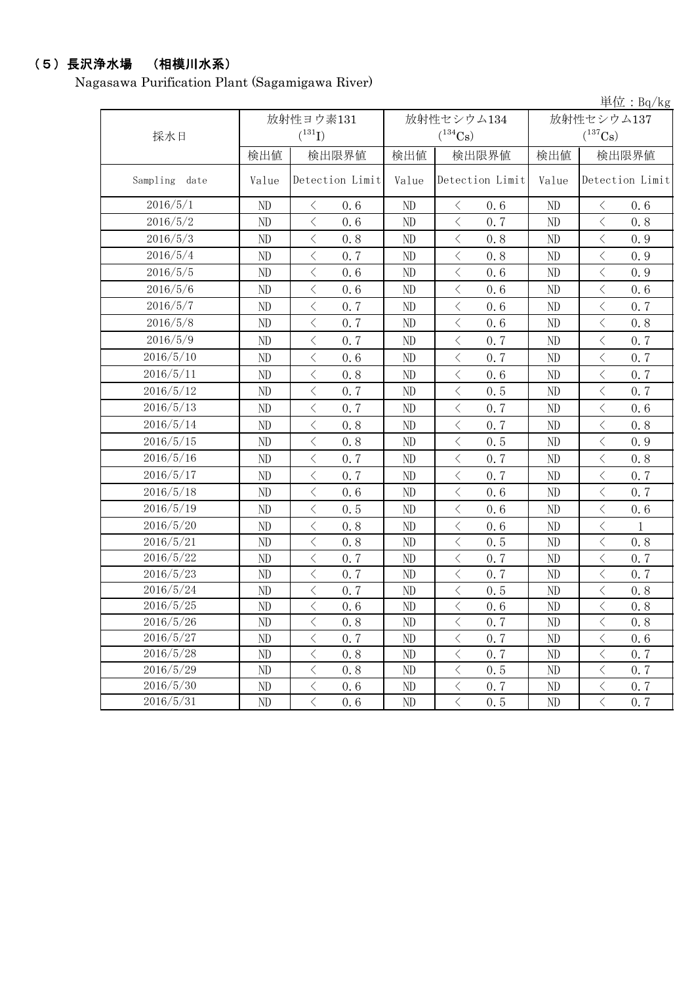# (5)長沢浄水場 (相模川水系)

Nagasawa Purification Plant (Sagamigawa River)

|                  |          |                                                 |                |                                                 |              | 単位: $Bq/kg$                |  |
|------------------|----------|-------------------------------------------------|----------------|-------------------------------------------------|--------------|----------------------------|--|
|                  |          | 放射性ヨウ素131                                       |                | 放射性セシウム134                                      | 放射性セシウム137   |                            |  |
| 採水日              |          | $(^{131}I)$                                     |                | $(^{134}Cs)$                                    |              | $(^{137}Cs)$               |  |
|                  | 検出値      | 検出限界値                                           | 検出値            | 検出限界値                                           | 検出値<br>検出限界値 |                            |  |
| Sampling<br>date | Value    | Detection Limit                                 | Value          | Detection Limit                                 | Value        | Detection Limit            |  |
| 2016/5/1         | ND       | 0.6<br>$\lt$                                    | ND             | 0.6<br>$\langle$                                | ND           | $\langle$<br>0.6           |  |
| 2016/5/2         | ND       | $\langle$<br>0.6                                | ND             | 0.7<br>$\langle$                                | ND           | $\langle$<br>0.8           |  |
| 2016/5/3         | ND       | $\langle$<br>0.8                                | ND             | $\langle$<br>0.8                                | ND           | $\lt$<br>0.9               |  |
| 2016/5/4         | ND       | $\langle$<br>0.7                                | ND             | $\langle$<br>0.8                                | ND           | $\langle$<br>0.9           |  |
| 2016/5/5         | ND       | $\langle$<br>0.6                                | ND             | $\langle$<br>0.6                                | ND           | $\langle$<br>0.9           |  |
| 2016/5/6         | ND       | $\langle$<br>0.6                                | ND             | $\langle$<br>0.6                                | ND           | $\langle$<br>0.6           |  |
| 2016/5/7         | ND       | $\langle$<br>0.7                                | N <sub>D</sub> | $\lt$<br>0.6                                    | ND           | $\langle$<br>0.7           |  |
| 2016/5/8         | ND       | $\langle$<br>0.7                                | ND             | $\langle$<br>0.6                                | ND           | $\langle$<br>0.8           |  |
| 2016/5/9         | ND       | $\langle$<br>0.7                                | ND             | 0.7<br>$\langle$                                | ND           | 0.7<br>$\lt$               |  |
| 2016/5/10        | ND       | $\langle$<br>0.6                                | ND             | $\langle$<br>0.7                                | ND           | $\, <\,$<br>0.7            |  |
| 2016/5/11        | ND       | $\langle$<br>0.8                                | ND             | $\langle$<br>0.6                                | ND           | $\langle$<br>0.7           |  |
| 2016/5/12        | ND       | $\langle$<br>0.7                                | ND             | $\langle$<br>0.5                                | ND           | $\langle$<br>0.7           |  |
| 2016/5/13        | ND       | $\langle$<br>0.7                                | N <sub>D</sub> | 0.7<br>$\langle$                                | ND           | $\langle$<br>0.6           |  |
| 2016/5/14        | ND       | $\langle$<br>0.8                                | ND             | $\langle$<br>0.7                                | ND           | $\langle$<br>0.8           |  |
| 2016/5/15        | ND       | $\langle$<br>0.8                                | ND             | $\langle$<br>0.5                                | ND           | $\, <\,$<br>0.9            |  |
| 2016/5/16        | ND       | $\langle$<br>0.7                                | ND             | $\langle$<br>0.7                                | ND           | $\langle$<br>0.8           |  |
| 2016/5/17        | ND       | $\overline{\left\langle \right\rangle }$<br>0.7 | ND             | $\langle$<br>0.7                                | ND           | $\langle$<br>0.7           |  |
| 2016/5/18        | ND       | $\langle$<br>0.6                                | ND             | $\langle$<br>0.6                                | ND           | 0.7<br>$\langle$           |  |
| 2016/5/19        | ND       | $\langle$<br>0.5                                | ND             | $\langle$<br>0.6                                | ND           | $\langle$<br>0.6           |  |
| 2016/5/20        | ND       | $\langle$<br>0.8                                | ND             | $\langle$<br>0.6                                | ND           | $\, <\,$<br>$\mathbf{1}$   |  |
| 2016/5/21        | ND       | $\langle$<br>0.8                                | ND             | $\langle$<br>0.5                                | ND           | $\, <\,$<br>0.8            |  |
| 2016/5/22        | ND       | $\langle$<br>0.7                                | ND             | $\langle$<br>0.7                                | ND           | 0.7<br>$\langle$           |  |
| 2016/5/23        | ND       | $\langle$<br>0.7                                | ND             | $\langle$<br>0.7                                | ND           | $\lt$<br>0.7               |  |
| 2016/5/24        | ND       | $\, \big\langle \,$<br>0.7                      | ND             | $\langle$<br>0.5                                | ND           | $\langle$<br>0.8           |  |
| 2016/5/25        | ND       | $\langle$<br>0.6                                | ND             | $\overline{\left\langle \right\rangle }$<br>0.6 | ND           | $\langle$<br>0.8           |  |
| 2016/5/26        | ND       | $\, \leq$<br>0.8                                | ND             | 0, 7<br>$\lt$                                   | ND           | $\langle$<br>0.8           |  |
| 2016/5/27        | ND       | $\lt$<br>0.7                                    | ND             | $\lt$<br>0.7                                    | ND           | $\lt$<br>0.6               |  |
| 2016/5/28        | $\rm ND$ | $\big\langle$<br>0, 8                           | ND             | $\langle$<br>0.7                                | ND           | $\lt$<br>0.7               |  |
| 2016/5/29        | ND       | $\bigl\langle$<br>0.8                           | ND             | $\, <\,$<br>0.5                                 | ND           | $\mathord{\langle}$<br>0.7 |  |
| 2016/5/30        | ND       | $\langle$<br>0.6                                | ND             | $\langle$<br>0, 7                               | ND           | $\langle$<br>0, 7          |  |
| 2016/5/31        | ND       | $\langle$<br>0.6                                | ND             | 0, 5<br>$\lt$                                   | ND           | $\langle$<br>0, 7          |  |